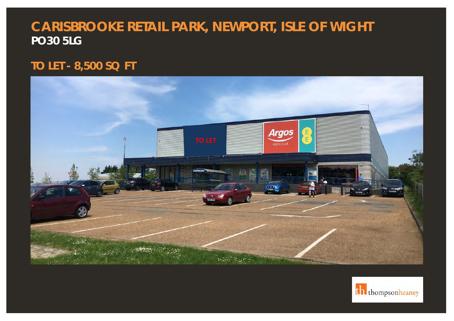# **CARISBROOKE RETAIL PARK, NEWPORT, ISLE OF WIGHT PO30 5LG**

## **TO LET - 8,500 SQ FT**